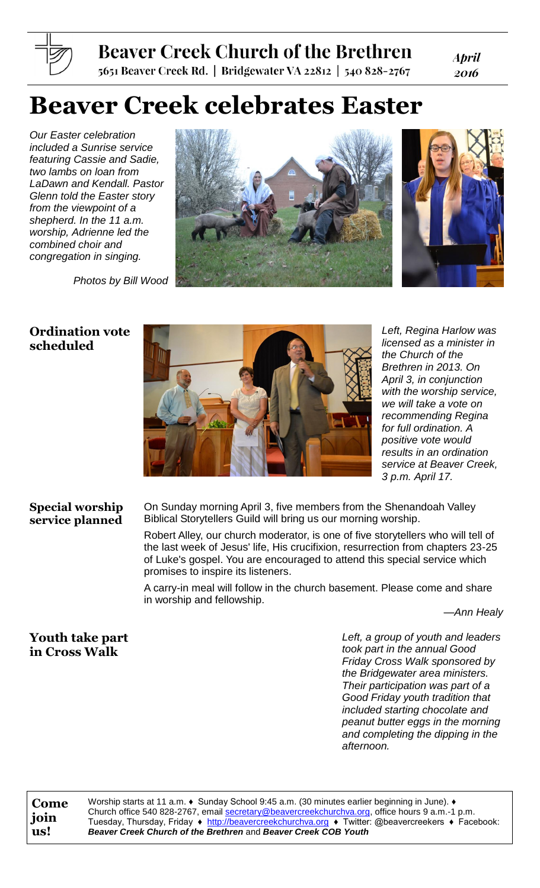# **Beaver Creek Church of the Brethren**

5651 Beaver Creek Rd. | Bridgewater VA 22812 | 540 828-2767

**April** 2016

# **Beaver Creek celebrates Easter**

*Our Easter celebration included a Sunrise service featuring Cassie and Sadie, two lambs on loan from LaDawn and Kendall. Pastor Glenn told the Easter story from the viewpoint of a shepherd. In the 11 a.m. worship, Adrienne led the combined choir and congregation in singing.*

*Photos by Bill Wood*





## **Ordination vote scheduled**



*Left, Regina Harlow was licensed as a minister in the Church of the Brethren in 2013. On April 3, in conjunction with the worship service, we will take a vote on recommending Regina for full ordination. A positive vote would results in an ordination service at Beaver Creek, 3 p.m. April 17.*

#### **Special worship service planned**

On Sunday morning April 3, five members from the Shenandoah Valley Biblical Storytellers Guild will bring us our morning worship.

Robert Alley, our church moderator, is one of five storytellers who will tell of the last week of Jesus' life, His crucifixion, resurrection from chapters 23-25 of Luke's gospel. You are encouraged to attend this special service which promises to inspire its listeners.

A carry-in meal will follow in the church basement. Please come and share in worship and fellowship.

*—Ann Healy*

# **Youth take part in Cross Walk**

*Left, a group of youth and leaders took part in the annual Good Friday Cross Walk sponsored by the Bridgewater area ministers. Their participation was part of a Good Friday youth tradition that included starting chocolate and peanut butter eggs in the morning and completing the dipping in the afternoon.*

**Come join us!**

Worship starts at 11 a.m. ♦ Sunday School 9:45 a.m. (30 minutes earlier beginning in June). ♦ Church office 540 828-2767, email [secretary@beavercreekchurchva.org,](mailto:secretary@beavercreekchurchva.org) office hours 9 a.m.-1 p.m. Tuesday, Thursday, Friday ♦ [http://beavercreekchurchva.org](http://beavercreekchurchva.org/) ♦ Twitter: @beavercreekers ♦ Facebook: *Beaver Creek Church of the Brethren* and *Beaver Creek COB Youth*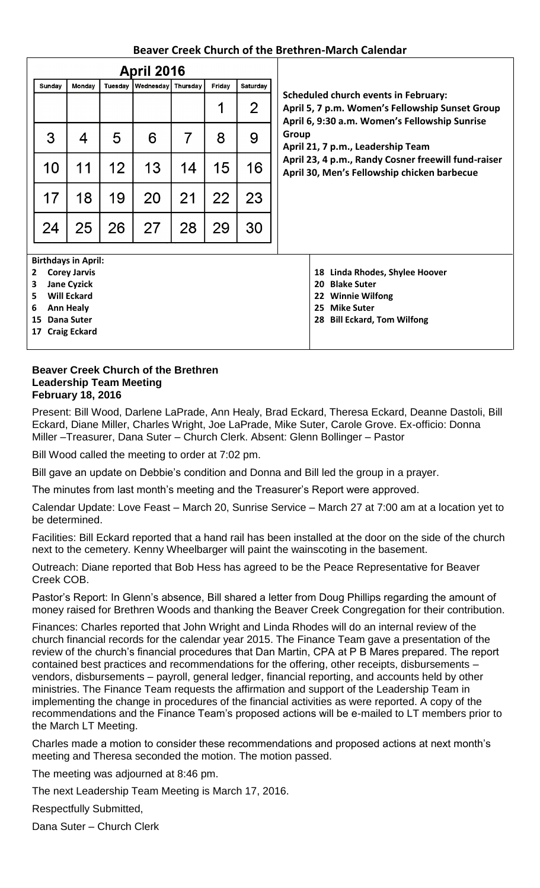#### **Beaver Creek Church of the Brethren-March Calendar**

| <b>April 2016</b> |                    |                            |         |                  |          |        |                                   |                                                                                                                                                  |  |  |
|-------------------|--------------------|----------------------------|---------|------------------|----------|--------|-----------------------------------|--------------------------------------------------------------------------------------------------------------------------------------------------|--|--|
|                   | Sunday             | Monday                     | Tuesday | <b>Wednesday</b> | Thursday | Friday | Saturday                          |                                                                                                                                                  |  |  |
|                   |                    |                            |         |                  |          | 1      | $\overline{2}$                    | <b>Scheduled church events in February:</b><br>April 5, 7 p.m. Women's Fellowship Sunset Group<br>April 6, 9:30 a.m. Women's Fellowship Sunrise  |  |  |
|                   | 3                  | 4                          | 5       | 6                | 7        | 8      | 9                                 | Group<br>April 21, 7 p.m., Leadership Team<br>April 23, 4 p.m., Randy Cosner freewill fund-raiser<br>April 30, Men's Fellowship chicken barbecue |  |  |
|                   | 10                 | 11                         | 12      | 13               | 14       | 15     | 16                                |                                                                                                                                                  |  |  |
|                   | 17                 | 18                         | 19      | 20               | 21       | 22     | 23                                |                                                                                                                                                  |  |  |
|                   | 24                 | 25                         | 26      | 27               | 28       | 29     | 30                                |                                                                                                                                                  |  |  |
|                   |                    | <b>Birthdays in April:</b> |         |                  |          |        |                                   |                                                                                                                                                  |  |  |
| $\mathbf{2}$      |                    | <b>Corey Jarvis</b>        |         |                  |          |        | Linda Rhodes, Shylee Hoover<br>18 |                                                                                                                                                  |  |  |
| 3                 | <b>Jane Cyzick</b> |                            |         |                  |          |        |                                   | <b>Blake Suter</b><br>20                                                                                                                         |  |  |
| 5                 |                    | <b>Will Eckard</b>         |         |                  |          |        | <b>Winnie Wilfong</b><br>22       |                                                                                                                                                  |  |  |
| 6                 |                    | <b>Ann Healy</b>           |         |                  |          |        | <b>Mike Suter</b><br>25           |                                                                                                                                                  |  |  |
| 15                | Dana Suter         |                            |         |                  |          |        |                                   | <b>Bill Eckard, Tom Wilfong</b><br>28                                                                                                            |  |  |
| 17                |                    | <b>Craig Eckard</b>        |         |                  |          |        |                                   |                                                                                                                                                  |  |  |

#### **Beaver Creek Church of the Brethren Leadership Team Meeting February 18, 2016**

Present: Bill Wood, Darlene LaPrade, Ann Healy, Brad Eckard, Theresa Eckard, Deanne Dastoli, Bill Eckard, Diane Miller, Charles Wright, Joe LaPrade, Mike Suter, Carole Grove. Ex-officio: Donna Miller –Treasurer, Dana Suter – Church Clerk. Absent: Glenn Bollinger – Pastor

Bill Wood called the meeting to order at 7:02 pm.

Bill gave an update on Debbie's condition and Donna and Bill led the group in a prayer.

The minutes from last month's meeting and the Treasurer's Report were approved.

Calendar Update: Love Feast – March 20, Sunrise Service – March 27 at 7:00 am at a location yet to be determined.

Facilities: Bill Eckard reported that a hand rail has been installed at the door on the side of the church next to the cemetery. Kenny Wheelbarger will paint the wainscoting in the basement.

Outreach: Diane reported that Bob Hess has agreed to be the Peace Representative for Beaver Creek COB.

Pastor's Report: In Glenn's absence, Bill shared a letter from Doug Phillips regarding the amount of money raised for Brethren Woods and thanking the Beaver Creek Congregation for their contribution.

Finances: Charles reported that John Wright and Linda Rhodes will do an internal review of the church financial records for the calendar year 2015. The Finance Team gave a presentation of the review of the church's financial procedures that Dan Martin, CPA at P B Mares prepared. The report contained best practices and recommendations for the offering, other receipts, disbursements – vendors, disbursements – payroll, general ledger, financial reporting, and accounts held by other ministries. The Finance Team requests the affirmation and support of the Leadership Team in implementing the change in procedures of the financial activities as were reported. A copy of the recommendations and the Finance Team's proposed actions will be e-mailed to LT members prior to the March LT Meeting.

Charles made a motion to consider these recommendations and proposed actions at next month's meeting and Theresa seconded the motion. The motion passed.

The meeting was adjourned at 8:46 pm.

The next Leadership Team Meeting is March 17, 2016.

Respectfully Submitted,

Dana Suter – Church Clerk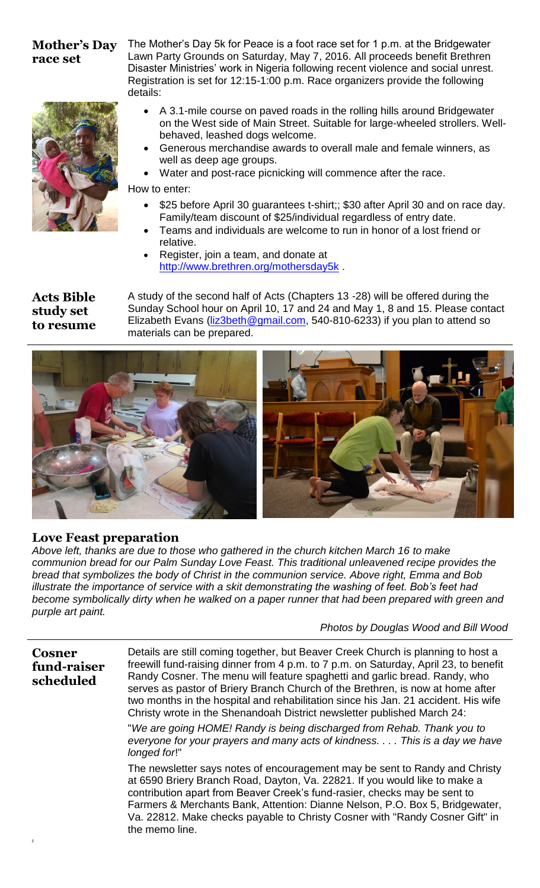#### **Mother's Day race set**



The Mother's Day 5k for Peace is a foot race set for 1 p.m. at the Bridgewater Lawn Party Grounds on Saturday, May 7, 2016. All proceeds benefit Brethren Disaster Ministries' work in Nigeria following recent violence and social unrest. Registration is set for 12:15-1:00 p.m. Race organizers provide the following details:

- A 3.1-mile course on paved roads in the rolling hills around Bridgewater on the West side of Main Street. Suitable for large-wheeled strollers. Wellbehaved, leashed dogs welcome.
- Generous merchandise awards to overall male and female winners, as well as deep age groups.
- Water and post-race picnicking will commence after the race.

How to enter:

- \$25 before April 30 guarantees t-shirt;; \$30 after April 30 and on race day. Family/team discount of \$25/individual regardless of entry date.
- Teams and individuals are welcome to run in honor of a lost friend or relative.
- Register, join a team, and donate at <http://www.brethren.org/mothersday5k>.

#### **Acts Bible study set to resume**

A study of the second half of Acts (Chapters 13 -28) will be offered during the Sunday School hour on April 10, 17 and 24 and May 1, 8 and 15. Please contact Elizabeth Evans [\(liz3beth@gmail.com,](mailto:liz3beth@gmail.com) 540-810-6233) if you plan to attend so materials can be prepared.



## **Love Feast preparation**

*Above left, thanks are due to those who gathered in the church kitchen March 16 to make communion bread for our Palm Sunday Love Feast. This traditional unleavened recipe provides the bread that symbolizes the body of Christ in the communion service. Above right, Emma and Bob illustrate the importance of service with a skit demonstrating the washing of feet. Bob's feet had become symbolically dirty when he walked on a paper runner that had been prepared with green and purple art paint.*

*Photos by Douglas Wood and Bill Wood*

| <b>Cosner</b><br>fund-raiser<br>scheduled | Details are still coming together, but Beaver Creek Church is planning to host a<br>freewill fund-raising dinner from 4 p.m. to 7 p.m. on Saturday, April 23, to benefit<br>Randy Cosner. The menu will feature spaghetti and garlic bread. Randy, who<br>serves as pastor of Briery Branch Church of the Brethren, is now at home after<br>two months in the hospital and rehabilitation since his Jan. 21 accident. His wife<br>Christy wrote in the Shenandoah District newsletter published March 24: |
|-------------------------------------------|-----------------------------------------------------------------------------------------------------------------------------------------------------------------------------------------------------------------------------------------------------------------------------------------------------------------------------------------------------------------------------------------------------------------------------------------------------------------------------------------------------------|
|                                           | "We are going HOME! Randy is being discharged from Rehab. Thank you to<br>everyone for your prayers and many acts of kindness. This is a day we have<br>longed for!"                                                                                                                                                                                                                                                                                                                                      |
|                                           | The newsletter says notes of encouragement may be sent to Randy and Christy<br>at 6590 Briery Branch Road, Dayton, Va. 22821. If you would like to make a<br>contribution apart from Beaver Creek's fund-rasier, checks may be sent to                                                                                                                                                                                                                                                                    |

part from Beaver Creek's fund-rasier, checks ma Farmers & Merchants Bank, Attention: Dianne Nelson, P.O. Box 5, Bridgewater, Va. 22812. Make checks payable to Christy Cosner with "Randy Cosner Gift" in the memo line.